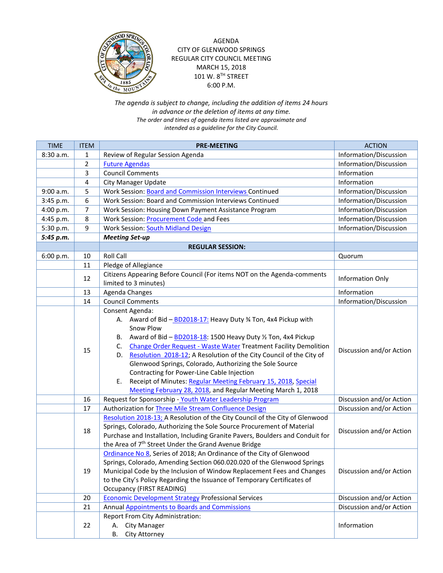

AGENDA CITY OF GLENWOOD SPRINGS REGULAR CITY COUNCIL MEETING MARCH 15, 2018 101 W. 8TH STREET 6:00 P.M.

*The agenda is subject to change, including the addition of items 24 hours in advance or the deletion of items at any time. The order and times of agenda items listed are approximate and intended as a guideline for the City Council.*

| <b>TIME</b> | <b>ITEM</b>    | <b>PRE-MEETING</b>                                                                                                                                                                                                                                                                                                                                                                                                                                                                                                                                                                   | <b>ACTION</b>            |
|-------------|----------------|--------------------------------------------------------------------------------------------------------------------------------------------------------------------------------------------------------------------------------------------------------------------------------------------------------------------------------------------------------------------------------------------------------------------------------------------------------------------------------------------------------------------------------------------------------------------------------------|--------------------------|
| 8:30a.m.    | 1              | Review of Regular Session Agenda                                                                                                                                                                                                                                                                                                                                                                                                                                                                                                                                                     | Information/Discussion   |
|             | $\overline{2}$ | <b>Future Agendas</b>                                                                                                                                                                                                                                                                                                                                                                                                                                                                                                                                                                | Information/Discussion   |
|             | 3              | <b>Council Comments</b>                                                                                                                                                                                                                                                                                                                                                                                                                                                                                                                                                              | Information              |
|             | 4              | <b>City Manager Update</b>                                                                                                                                                                                                                                                                                                                                                                                                                                                                                                                                                           | Information              |
| 9:00 a.m.   | 5              | Work Session: Board and Commission Interviews Continued                                                                                                                                                                                                                                                                                                                                                                                                                                                                                                                              | Information/Discussion   |
| 3:45 p.m.   | 6              | Work Session: Board and Commission Interviews Continued                                                                                                                                                                                                                                                                                                                                                                                                                                                                                                                              | Information/Discussion   |
| 4:00 p.m.   | 7              | Work Session: Housing Down Payment Assistance Program                                                                                                                                                                                                                                                                                                                                                                                                                                                                                                                                | Information/Discussion   |
| 4:45 p.m.   | 8              | Work Session: Procurement Code and Fees                                                                                                                                                                                                                                                                                                                                                                                                                                                                                                                                              | Information/Discussion   |
| 5:30 p.m.   | 9              | <b>Work Session: South Midland Design</b>                                                                                                                                                                                                                                                                                                                                                                                                                                                                                                                                            | Information/Discussion   |
| 5:45 p.m.   |                | <b>Meeting Set-up</b>                                                                                                                                                                                                                                                                                                                                                                                                                                                                                                                                                                |                          |
|             |                | <b>REGULAR SESSION:</b>                                                                                                                                                                                                                                                                                                                                                                                                                                                                                                                                                              |                          |
| 6:00 p.m.   | 10             | <b>Roll Call</b>                                                                                                                                                                                                                                                                                                                                                                                                                                                                                                                                                                     | Quorum                   |
|             | 11             | Pledge of Allegiance                                                                                                                                                                                                                                                                                                                                                                                                                                                                                                                                                                 |                          |
|             | 12             | Citizens Appearing Before Council (For items NOT on the Agenda-comments<br>limited to 3 minutes)                                                                                                                                                                                                                                                                                                                                                                                                                                                                                     | Information Only         |
|             | 13             | Agenda Changes                                                                                                                                                                                                                                                                                                                                                                                                                                                                                                                                                                       | Information              |
|             | 14             | <b>Council Comments</b>                                                                                                                                                                                                                                                                                                                                                                                                                                                                                                                                                              | Information/Discussion   |
|             | 15             | Consent Agenda:<br>A. Award of Bid - BD2018-17: Heavy Duty % Ton, 4x4 Pickup with<br>Snow Plow<br>Award of Bid - BD2018-18: 1500 Heavy Duty 1/2 Ton, 4x4 Pickup<br>В.<br><b>Change Order Request - Waste Water Treatment Facility Demolition</b><br>C.<br>Resolution 2018-12; A Resolution of the City Council of the City of<br>D.<br>Glenwood Springs, Colorado, Authorizing the Sole Source<br>Contracting for Power-Line Cable Injection<br>Receipt of Minutes: Regular Meeting February 15, 2018, Special<br>Е.<br>Meeting February 28, 2018, and Regular Meeting March 1, 2018 | Discussion and/or Action |
|             | 16             | Request for Sponsorship - Youth Water Leadership Program                                                                                                                                                                                                                                                                                                                                                                                                                                                                                                                             | Discussion and/or Action |
|             | 17             | Authorization for Three Mile Stream Confluence Design                                                                                                                                                                                                                                                                                                                                                                                                                                                                                                                                | Discussion and/or Action |
|             | 18             | Resolution 2018-13; A Resolution of the City Council of the City of Glenwood<br>Springs, Colorado, Authorizing the Sole Source Procurement of Material<br>Purchase and Installation, Including Granite Pavers, Boulders and Conduit for<br>the Area of 7 <sup>th</sup> Street Under the Grand Avenue Bridge                                                                                                                                                                                                                                                                          | Discussion and/or Action |
|             | 19             | Ordinance No 8, Series of 2018; An Ordinance of the City of Glenwood<br>Springs, Colorado, Amending Section 060.020.020 of the Glenwood Springs<br>Municipal Code by the Inclusion of Window Replacement Fees and Changes<br>to the City's Policy Regarding the Issuance of Temporary Certificates of<br><b>Occupancy (FIRST READING)</b>                                                                                                                                                                                                                                            | Discussion and/or Action |
|             | 20             | <b>Economic Development Strategy Professional Services</b>                                                                                                                                                                                                                                                                                                                                                                                                                                                                                                                           | Discussion and/or Action |
|             | 21             | <b>Annual Appointments to Boards and Commissions</b>                                                                                                                                                                                                                                                                                                                                                                                                                                                                                                                                 | Discussion and/or Action |
|             | 22             | Report From City Administration:<br>A. City Manager<br>B. City Attorney                                                                                                                                                                                                                                                                                                                                                                                                                                                                                                              | Information              |